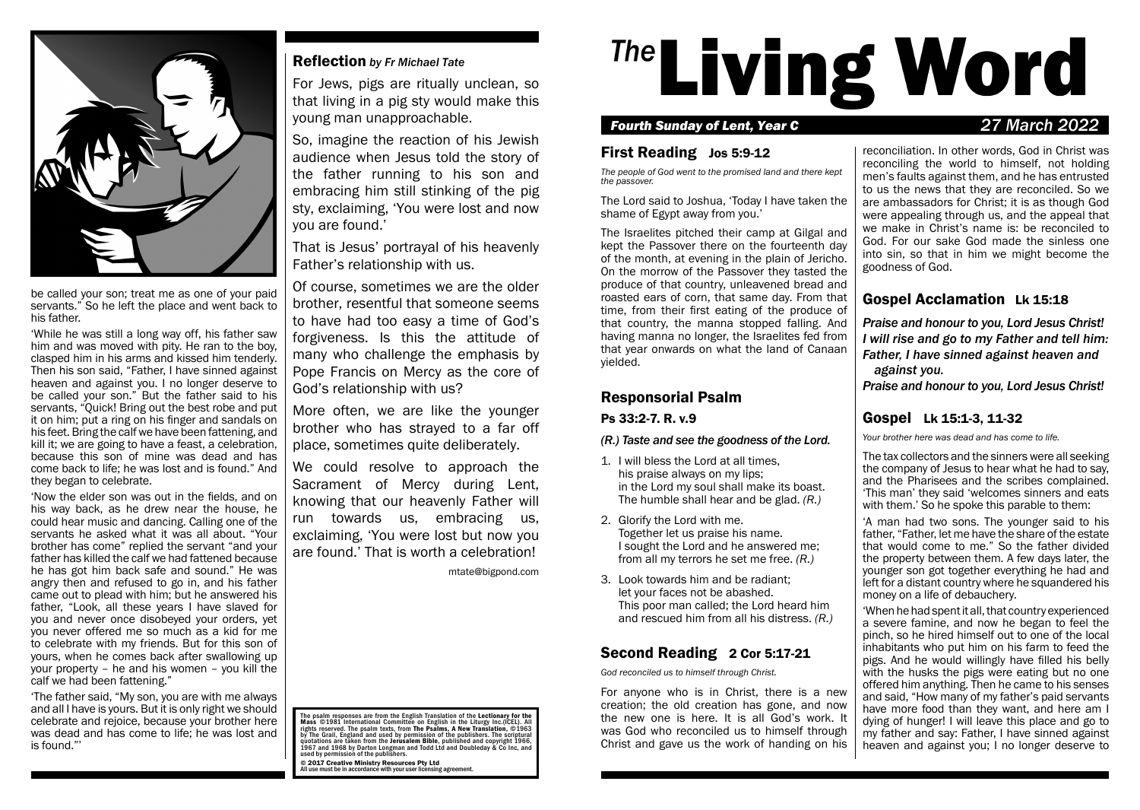

be called your son; treat me as one of your paid servants." So he left the place and went back to his father.

'While he was still a long way off, his father saw him and was moved with pity. He ran to the boy, clasped him in his arms and kissed him tenderly. Then his son said, "Father, I have sinned against heaven and against you. I no longer deserve to be called your son." But the father said to his servants, "Quick! Bring out the best robe and put it on him; put a ring on his finger and sandals on his feet. Bring the calf we have been fattening, and kill it; we are going to have a feast, a celebration, because this son of mine was dead and has come back to life; he was lost and is found." And they began to celebrate.

'Now the elder son was out in the fields, and on his way back, as he drew near the house, he could hear music and dancing. Calling one of the servants he asked what it was all about. "Your brother has come" replied the servant "and your father has killed the calf we had fattened because he has got him back safe and sound." He was angry then and refused to go in, and his father came out to plead with him; but he answered his father, "Look, all these years I have slaved for you and never once disobeyed your orders, yet you never offered me so much as a kid for me to celebrate with my friends. But for this son of yours, when he comes back after swallowing up your property – he and his women – you kill the calf we had been fattening."

'The father said, "My son, you are with me always and all I have is yours. But it is only right we should celebrate and rejoice, because your brother here was dead and has come to life; he was lost and is found."'

# Reflection *by Fr Michael Tate*

For Jews, pigs are ritually unclean, so that living in a pig sty would make this young man unapproachable.

So, imagine the reaction of his Jewish audience when Jesus told the story of the father running to his son and embracing him still stinking of the pig sty, exclaiming, 'You were lost and now you are found.'

That is Jesus' portrayal of his heavenly Father's relationship with us.

Of course, sometimes we are the older brother, resentful that someone seems to have had too easy a time of God's forgiveness. Is this the attitude of many who challenge the emphasis by Pope Francis on Mercy as the core of God's relationship with us?

More often, we are like the younger brother who has strayed to a far off place, sometimes quite deliberately.

We could resolve to approach the Sacrament of Mercy during Lent, knowing that our heavenly Father will run towards us, embracing us, exclaiming, 'You were lost but now you are found.' That is worth a celebration!

mtate@bigpond.com

<sup>The</sup>Living Word

## *Fourth Sunday of Lent, Year C 27 March 2022*

## First Reading Jos 5:9-12

*The people of God went to the promised land and there kept the passover.*

The Lord said to Joshua, 'Today I have taken the shame of Egypt away from you.'

The Israelites pitched their camp at Gilgal and kept the Passover there on the fourteenth day of the month, at evening in the plain of Jericho. On the morrow of the Passover they tasted the produce of that country, unleavened bread and roasted ears of corn, that same day. From that time, from their first eating of the produce of that country, the manna stopped falling. And having manna no longer, the Israelites fed from that year onwards on what the land of Canaan yielded.

## Responsorial Psalm

Ps 33:2-7. R. v.9

#### *(R.) Taste and see the goodness of the Lord.*

- 1. I will bless the Lord at all times, his praise always on my lips; in the Lord my soul shall make its boast. The humble shall hear and be glad. *(R.)*
- 2. Glorify the Lord with me. Together let us praise his name. I sought the Lord and he answered me; from all my terrors he set me free. *(R.)*
- 3. Look towards him and be radiant; let your faces not be abashed. This poor man called; the Lord heard him and rescued him from all his distress. *(R.)*

# Second Reading 2 Cor 5:17-21

*God reconciled us to himself through Christ.*

For anyone who is in Christ, there is a new creation; the old creation has gone, and now the new one is here. It is all God's work. It was God who reconciled us to himself through Christ and gave us the work of handing on his

reconciliation. In other words, God in Christ was reconciling the world to himself, not holding men's faults against them, and he has entrusted to us the news that they are reconciled. So we are ambassadors for Christ; it is as though God were appealing through us, and the appeal that we make in Christ's name is: be reconciled to God. For our sake God made the sinless one into sin, so that in him we might become the goodness of God.

# Gospel Acclamation Lk 15:18

*Praise and honour to you, Lord Jesus Christ! I will rise and go to my Father and tell him: Father, I have sinned against heaven and against you.*

*Praise and honour to you, Lord Jesus Christ!*

# Gospel Lk 15:1-3, 11-32

*Your brother here was dead and has come to life.*

The tax collectors and the sinners were all seeking the company of Jesus to hear what he had to say, and the Pharisees and the scribes complained. 'This man' they said 'welcomes sinners and eats with them.' So he spoke this parable to them:

'A man had two sons. The younger said to his father, "Father, let me have the share of the estate that would come to me." So the father divided the property between them. A few days later, the younger son got together everything he had and left for a distant country where he squandered his money on a life of debauchery.

'When he had spent it all, that country experienced a severe famine, and now he began to feel the pinch, so he hired himself out to one of the local inhabitants who put him on his farm to feed the pigs. And he would willingly have filled his belly with the husks the pigs were eating but no one offered him anything. Then he came to his senses and said, "How many of my father's paid servants have more food than they want, and here am I dying of hunger! I will leave this place and go to my father and say: Father, I have sinned against heaven and against you; I no longer deserve to

The psalm responses are from the English Translation of the Lectionary for the<br>Mass ©1981 International Committee on English in the Liturgy Inc.(ICEL). All rights reserved. The psalm texts, from **The Psalms, A New Translation**, ©1963<br>by The Grail, England and used by permission of the publishers. The scriptural quotations are taken from the **Jerusalem Bible**, published and copyright 1966,<br>1967 and 1968 by Darton Longman and Todd Ltd and Doubleday & Co Inc, and<br>used by permission of the publishers. © 2017 Creative Ministry Resources Pty Ltd All use must be in accordance with your user licensing agreement.